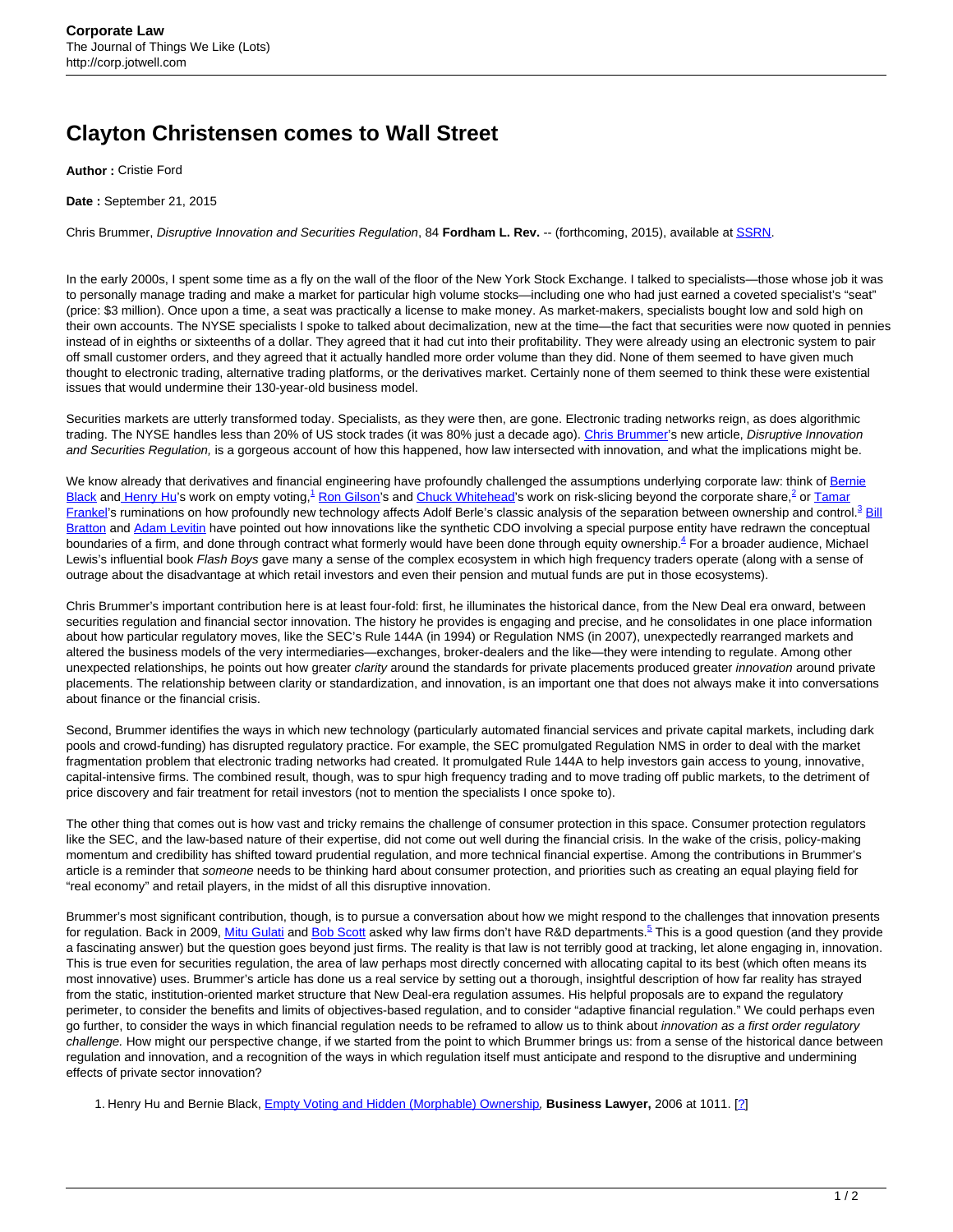## **Clayton Christensen comes to Wall Street**

**Author :** Cristie Ford

**Date :** September 21, 2015

Chris Brummer, Disruptive Innovation and Securities Regulation, 84 **Fordham L. Rev.** -- (forthcoming, 2015), available at [SSRN.](http://papers.ssrn.com/sol3/papers.cfm?abstract_id=2546930)

In the early 2000s, I spent some time as a fly on the wall of the floor of the New York Stock Exchange. I talked to specialists—those whose job it was to personally manage trading and make a market for particular high volume stocks—including one who had just earned a coveted specialist's "seat" (price: \$3 million). Once upon a time, a seat was practically a license to make money. As market-makers, specialists bought low and sold high on their own accounts. The NYSE specialists I spoke to talked about decimalization, new at the time—the fact that securities were now quoted in pennies instead of in eighths or sixteenths of a dollar. They agreed that it had cut into their profitability. They were already using an electronic system to pair off small customer orders, and they agreed that it actually handled more order volume than they did. None of them seemed to have given much thought to electronic trading, alternative trading platforms, or the derivatives market. Certainly none of them seemed to think these were existential issues that would undermine their 130-year-old business model.

Securities markets are utterly transformed today. Specialists, as they were then, are gone. Electronic trading networks reign, as does algorithmic trading. The NYSE handles less than 20% of US stock trades (it was 80% just a decade ago). [Chris Brummer](https://www.law.georgetown.edu/faculty/brummer-chris.cfm)'s new article, Disruptive Innovation and Securities Regulation, is a gorgeous account of how this happened, how law intersected with innovation, and what the implications might be.

We know already that derivatives and financial engineering have profoundly challenged the assumptions underlying corporate law: think of [Bernie](http://www.law.northwestern.edu/faculty/profiles/BernardBlack/) [Black](http://www.law.northwestern.edu/faculty/profiles/BernardBlack/) and [Henry Hu'](https://law.utexas.edu/faculty/huht/)s work on empty voting,<sup>1</sup> [Ron Gilson](https://www.law.stanford.edu/profile/ronald-j-gilson)'s and [Chuck Whitehead'](http://www.lawschool.cornell.edu/faculty/bio_charles_whitehead.cfm)s work on risk-slicing beyond the corporate share,<sup>2</sup> or <u>Tamar</u> [Frankel](https://www.google.com/search?q=Tamar+Frankel&oq=Tamar+Frankel&aqs=chrome..69i57j0l5.356j0j1&sourceid=chrome&es_sm=91&ie=UTF-8)'s ruminations on how profoundly new technology affects Adolf Berle's classic analysis of the separation between ownership and control.<sup>3</sup> [Bill](https://www.law.upenn.edu/cf/faculty/wbratton/) [Bratton](https://www.law.upenn.edu/cf/faculty/wbratton/) and [Adam Levitin](http://www.law.georgetown.edu/faculty/levitin-adam-j.cfm) have pointed out how innovations like the synthetic CDO involving a special purpose entity have redrawn the conceptual boundaries of a firm, and done through contract what formerly would have been done through equity ownership.<sup>4</sup> For a broader audience, Michael Lewis's influential book Flash Boys gave many a sense of the complex ecosystem in which high frequency traders operate (along with a sense of outrage about the disadvantage at which retail investors and even their pension and mutual funds are put in those ecosystems).

Chris Brummer's important contribution here is at least four-fold: first, he illuminates the historical dance, from the New Deal era onward, between securities regulation and financial sector innovation. The history he provides is engaging and precise, and he consolidates in one place information about how particular regulatory moves, like the SEC's Rule 144A (in 1994) or Regulation NMS (in 2007), unexpectedly rearranged markets and altered the business models of the very intermediaries—exchanges, broker-dealers and the like—they were intending to regulate. Among other unexpected relationships, he points out how greater clarity around the standards for private placements produced greater innovation around private placements. The relationship between clarity or standardization, and innovation, is an important one that does not always make it into conversations about finance or the financial crisis.

Second, Brummer identifies the ways in which new technology (particularly automated financial services and private capital markets, including dark pools and crowd-funding) has disrupted regulatory practice. For example, the SEC promulgated Regulation NMS in order to deal with the market fragmentation problem that electronic trading networks had created. It promulgated Rule 144A to help investors gain access to young, innovative, capital-intensive firms. The combined result, though, was to spur high frequency trading and to move trading off public markets, to the detriment of price discovery and fair treatment for retail investors (not to mention the specialists I once spoke to).

The other thing that comes out is how vast and tricky remains the challenge of consumer protection in this space. Consumer protection regulators like the SEC, and the law-based nature of their expertise, did not come out well during the financial crisis. In the wake of the crisis, policy-making momentum and credibility has shifted toward prudential regulation, and more technical financial expertise. Among the contributions in Brummer's article is a reminder that someone needs to be thinking hard about consumer protection, and priorities such as creating an equal playing field for "real economy" and retail players, in the midst of all this disruptive innovation.

Brummer's most significant contribution, though, is to pursue a conversation about how we might respond to the challenges that innovation presents for regulation. Back in 2009, <u>Mitu Gulati</u> and <u>Bob Scott</u> asked why law firms don't have R&D departments.<sup>5</sup> This is a good question (and they provide a fascinating answer) but the question goes beyond just firms. The reality is that law is not terribly good at tracking, let alone engaging in, innovation. This is true even for securities regulation, the area of law perhaps most directly concerned with allocating capital to its best (which often means its most innovative) uses. Brummer's article has done us a real service by setting out a thorough, insightful description of how far reality has strayed from the static, institution-oriented market structure that New Deal-era regulation assumes. His helpful proposals are to expand the regulatory perimeter, to consider the benefits and limits of objectives-based regulation, and to consider "adaptive financial regulation." We could perhaps even go further, to consider the ways in which financial regulation needs to be reframed to allow us to think about innovation as a first order regulatory challenge. How might our perspective change, if we started from the point to which Brummer brings us: from a sense of the historical dance between regulation and innovation, and a recognition of the ways in which regulation itself must anticipate and respond to the disruptive and undermining effects of private sector innovation?

1. Henry Hu and Bernie Black, [Empty Voting and Hidden \(Morphable\) Ownership](http://papers.ssrn.com/sol3/papers.cfm?abstract_id=887183), **Business Lawyer,** 2006 at 1011. [?]